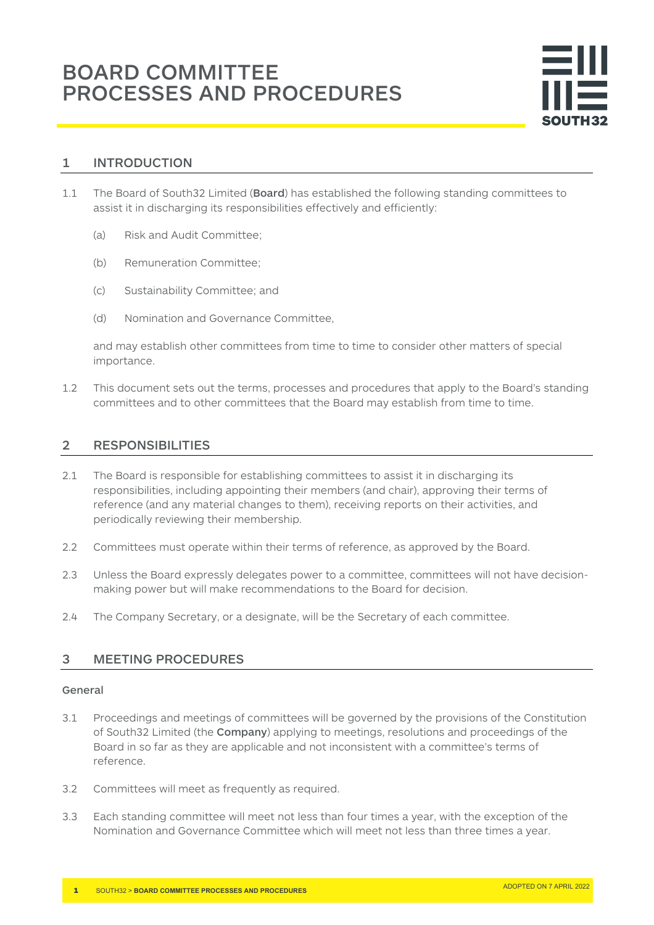# 1 INTRODUCTION

- 1.1 The Board of South32 Limited (Board) has established the following standing committees to assist it in discharging its responsibilities effectively and efficiently:
	- (a) Risk and Audit Committee;
	- (b) Remuneration Committee;
	- (c) Sustainability Committee; and
	- (d) Nomination and Governance Committee,

and may establish other committees from time to time to consider other matters of special importance.

1.2 This document sets out the terms, processes and procedures that apply to the Board's standing committees and to other committees that the Board may establish from time to time.

# 2 RESPONSIBILITIES

- 2.1 The Board is responsible for establishing committees to assist it in discharging its responsibilities, including appointing their members (and chair), approving their terms of reference (and any material changes to them), receiving reports on their activities, and periodically reviewing their membership.
- 2.2 Committees must operate within their terms of reference, as approved by the Board.
- 2.3 Unless the Board expressly delegates power to a committee, committees will not have decisionmaking power but will make recommendations to the Board for decision.
- 2.4 The Company Secretary, or a designate, will be the Secretary of each committee.

## 3 MEETING PROCEDURES

### General

- 3.1 Proceedings and meetings of committees will be governed by the provisions of the Constitution of South32 Limited (the Company) applying to meetings, resolutions and proceedings of the Board in so far as they are applicable and not inconsistent with a committee's terms of reference.
- 3.2 Committees will meet as frequently as required.
- 3.3 Each standing committee will meet not less than four times a year, with the exception of the Nomination and Governance Committee which will meet not less than three times a year.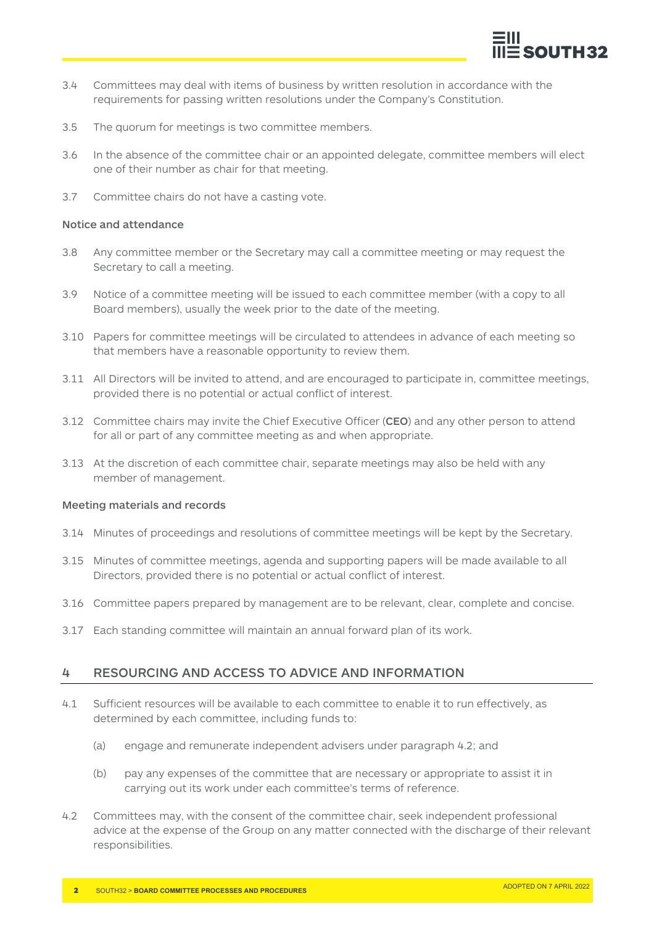

- 3.4 Committees may deal with items of business by written resolution in accordance with the requirements for passing written resolutions under the Company's Constitution.
- 3.5 The quorum for meetings is two committee members.
- 3.6 In the absence of the committee chair or an appointed delegate, committee members will elect one of their number as chair for that meeting.
- 3.7 Committee chairs do not have a casting vote.

#### Notice and attendance

- 3.8 Any committee member or the Secretary may call a committee meeting or may request the Secretary to call a meeting.
- 3.9 Notice of a committee meeting will be issued to each committee member (with a copy to all Board members), usually the week prior to the date of the meeting.
- 3.10 Papers for committee meetings will be circulated to attendees in advance of each meeting so that members have a reasonable opportunity to review them.
- 3.11 All Directors will be invited to attend, and are encouraged to participate in, committee meetings, provided there is no potential or actual conflict of interest.
- 3.12 Committee chairs may invite the Chief Executive Officer (CEO) and any other person to attend for all or part of any committee meeting as and when appropriate.
- 3.13 At the discretion of each committee chair, separate meetings may also be held with any member of management.

#### Meeting materials and records

- 3.14 Minutes of proceedings and resolutions of committee meetings will be kept by the Secretary.
- 3.15 Minutes of committee meetings, agenda and supporting papers will be made available to all Directors, provided there is no potential or actual conflict of interest.
- 3.16 Committee papers prepared by management are to be relevant, clear, complete and concise.
- 3.17 Each standing committee will maintain an annual forward plan of its work.

## 4 RESOURCING AND ACCESS TO ADVICE AND INFORMATION

- 4.1 Sufficient resources will be available to each committee to enable it to run effectively, as determined by each committee, including funds to:
	- (a) engage and remunerate independent advisers under paragraph 4.2; and
	- (b) pay any expenses of the committee that are necessary or appropriate to assist it in carrying out its work under each committee's terms of reference.
- 4.2 Committees may, with the consent of the committee chair, seek independent professional advice at the expense of the Group on any matter connected with the discharge of their relevant responsibilities.